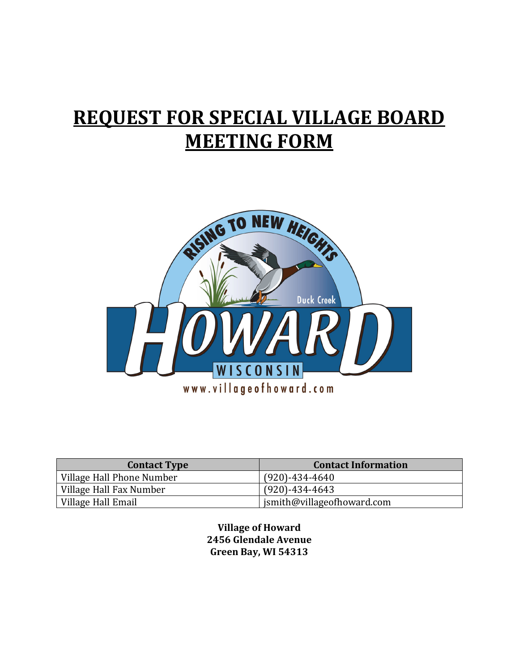## REQUEST FOR SPECIAL VILLAGE BOARD MEETING FORM



| <b>Contact Type</b>       | <b>Contact Information</b> |
|---------------------------|----------------------------|
| Village Hall Phone Number | $(920) - 434 - 4640$       |
| Village Hall Fax Number   | $(920) - 434 - 4643$       |
| Village Hall Email        | jsmith@villageofhoward.com |

Village of Howard 2456 Glendale Avenue Green Bay, WI 54313